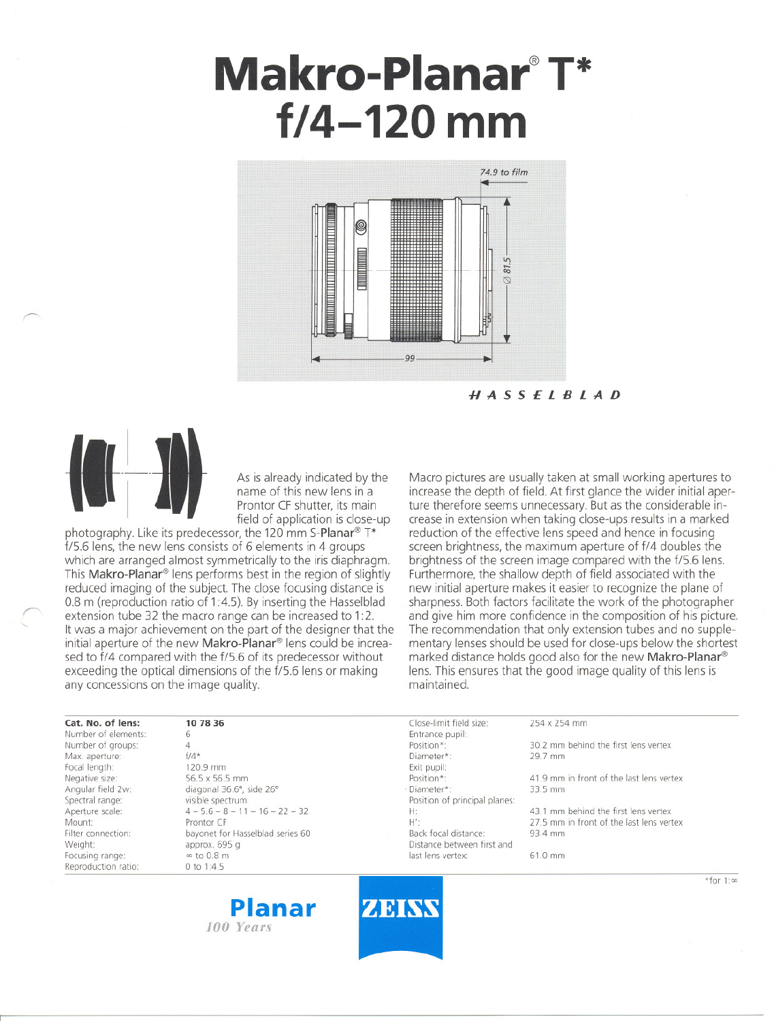# **Makro-Planar@ T\* f/4-120 mm**



HASSElBlAD



~

~ "

As is already indicated by the name of this new lens in a Prontor CF shutter, its main field of application is close-up

photography. Like its predecessor, the 120 mm S-Planar<sup>®</sup> T\* f/5.6 lens, the new lens consists of 6 elements in 4 groups which are arranged almost symmetrically to the iris diaphragm. This Makro-Planar<sup>®</sup> lens performs best in the region of slightly reduced imaging of the subject. The close focusing distance is 0.8 m (reproduction ratio of 1:4.5). By inserting the Hasselblad extension tube 32 the macro range can be increased to 1:2. It was a major achievement on the part of the designer that the initial aperture of the new Makro-Planar<sup>®</sup> lens could be increased to f/4 compared with the f/5.6 of its predecessor without exceeding the optical dimensions of the f/5.6 lens or making any concessions on the image quality.

Macro pictures are usually taken at small working apertures to increase the depth of field. At first glance the wider initial aperture therefore seems unnecessary. But as the considerable increase in extension when taking dose-ups results in a marked reduction of the effective lens speed and hence in focusing screen brightness, the maximum aperture of f/4 doubles the brightness of the screen image compared with the f/5.6 lens. Furthermore, the shallow depth of field associated with the new initial aperture makes it easier to recognize the plane of sharpness. Both factors facilitate the work of the photographer and give hirn more confidence in the composition of his picture. The recommendation that only extension tubes and no supplementary lenses should be used for close-ups below the shortest marked distance holds good also for the new Makro-Planar® lens. This ensures that the good image quality of this lens is maintained.

| Cat. No. of lens:   | 10 78 36                          | Close-limit field size:       | 254 x 254 mm                             |  |
|---------------------|-----------------------------------|-------------------------------|------------------------------------------|--|
| Number of elements: | 6                                 | Entrance pupil:               |                                          |  |
| Number of groups:   |                                   | Position*:                    | 30.2 mm behind the first lens vertex     |  |
| Max. aperture:      | $f/4*$                            | Diameter*:                    | 29.7 mm                                  |  |
| Focal length:       | 120.9 mm                          | Exit pupil:                   |                                          |  |
| Negative size:      | 56.5 x 56.5 mm                    | Position*:                    | 41.9 mm in front of the last lens vertex |  |
| Angular field 2w:   | diagonal 36.6°, side 26°          | · Diameter*:                  | 33.5 mm                                  |  |
| Spectral range:     | visible spectrum                  | Position of principal planes: |                                          |  |
| Aperture scale:     | $4 - 5.6 - 8 - 11 - 16 - 22 - 32$ | H:                            | 43.1 mm behind the first lens vertex     |  |
| Mount:              | Prontor CF                        | H':                           | 27.5 mm in front of the last lens vertex |  |
| Filter connection:  | bayonet for Hasselblad series 60  | Back focal distance:          | 93.4 mm                                  |  |
| Weight:             | approx. 695 g                     | Distance between first and    |                                          |  |
| Focusing range:     | $\infty$ to 0.8 m                 | last lens vertex:             | 61.0 mm                                  |  |
| Reproduction ratio: | 0 to $1:4.5$                      |                               |                                          |  |





 $*$ for 1:00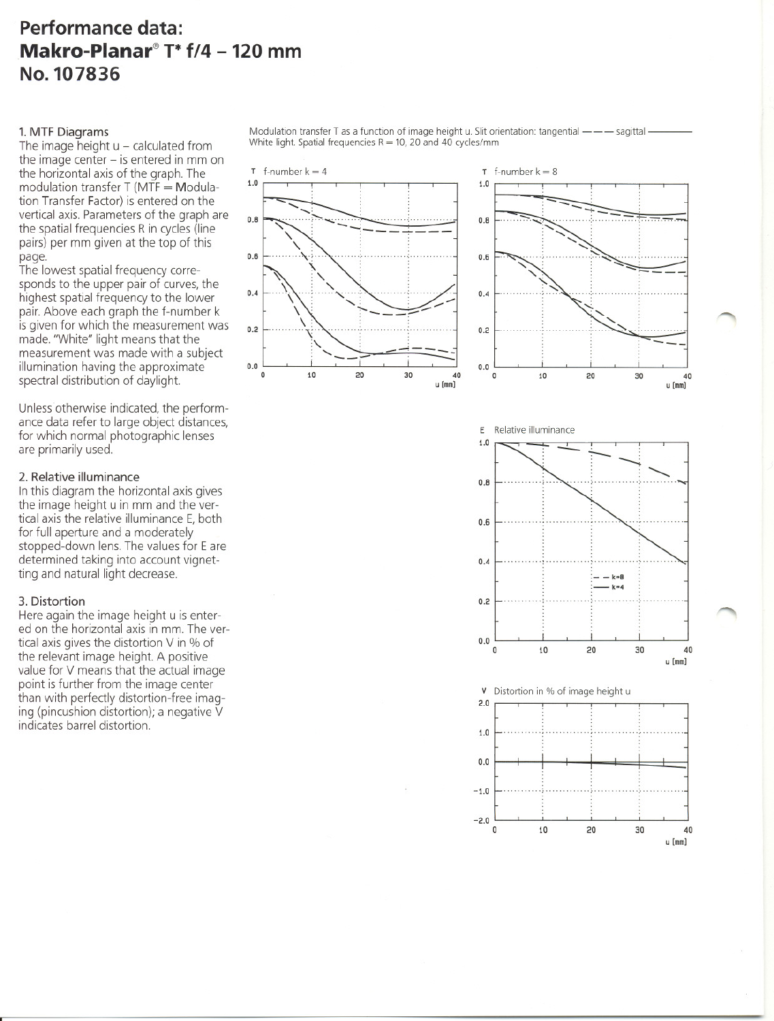# **Performance data: Makro-Planar@ T\* f/4 - 120 mm No.107836**

1.0

0.8

0.6

0.4

0.2

## 1. MTF Diagrams

The image height  $u$  – calculated from the image center  $-$  is entered in mm on the horizontal axis of the graph. The modulation transfer  $T$  (MTF  $=$  Modulation Transfer Factor) is entered on the vertical axis. Parameters of the graph are the spatial frequencies Rin cycles (Iine pairs) per mm given at the top of this page.

The lowest spatial frequency corresponds to the upper pair of curves, the highest spatial frequency to the lower pair. Above each graph the f-number k is given tor which the measurement was made. "White" light means that the measurement was made with a subject illumination having the approximate spectral distribution of daylight.

Unless otherwise indicated, the performance data refer to large object distances, tor which normal photographic lenses are primarily used.

### 2. Relative illuminance

In this diagram the horizontal axis gives the image height u in mm and the vertical axis the relative illuminance E, both tor full aperture and a moderately stopped-down lens. The values for E are determined taking into account vignetting and natural light decrease.

### 3. Distortion

Here again the image height u is entered on the horizontal axis in mm. The vertical axis gives the distortion V in % of the relevant image height. A positive value for V means that the actual image point is further from the image center than with perfectly distortion-free imaging (pincushion distortion); a negative V indicates barrel distortion.

Modulation transfer T as a function of image height u. Slit orientation: tangential -- - sagittal -White light. Spatial frequencies  $R = 10$ , 20 and 40 cycles/mm